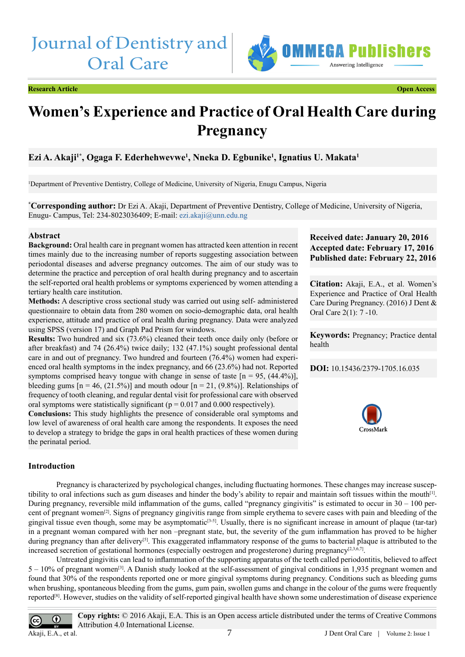# Journal of Dentistry and Oral Care



**Research Article Open Access**



## **Women's Experience and Practice of Oral Health Care during Pregnancy**

### **Ezi A. Akaji1\*, Ogaga F. Ederhehwevwe1 , Nneka D. Egbunike1 , Ignatius U. Makata1**

1 Department of Preventive Dentistry, College of Medicine, University of Nigeria, Enugu Campus, Nigeria

**\* Corresponding author:** Dr Ezi A. Akaji, Department of Preventive Dentistry, College of Medicine, University of Nigeria, Enugu- Campus, Tel: 234-8023036409; E-mail: ezi.akaji@unn.edu.ng

#### **Abstract**

**Background:** Oral health care in pregnant women has attracted keen attention in recent times mainly due to the increasing number of reports suggesting association between periodontal diseases and adverse pregnancy outcomes. The aim of our study was to determine the practice and perception of oral health during pregnancy and to ascertain the self-reported oral health problems or symptoms experienced by women attending a tertiary health care institution.

**Methods:** A descriptive cross sectional study was carried out using self- administered questionnaire to obtain data from 280 women on socio-demographic data, oral health experience, attitude and practice of oral health during pregnancy. Data were analyzed using SPSS (version 17) and Graph Pad Prism for windows.

**Results:** Two hundred and six (73.6%) cleaned their teeth once daily only (before or after breakfast) and 74 (26.4%) twice daily; 132 (47.1%) sought professional dental care in and out of pregnancy. Two hundred and fourteen (76.4%) women had experienced oral health symptoms in the index pregnancy, and 66 (23.6%) had not. Reported symptoms comprised heavy tongue with change in sense of taste  $[n = 95, (44.4\%)]$ , bleeding gums  $[n = 46, (21.5\%)]$  and mouth odour  $[n = 21, (9.8\%)]$ . Relationships of frequency of tooth cleaning, and regular dental visit for professional care with observed oral symptoms were statistically significant ( $p = 0.017$  and 0.000 respectively).

**Conclusions:** This study highlights the presence of considerable oral symptoms and low level of awareness of oral health care among the respondents. It exposes the need to develop a strategy to bridge the gaps in oral health practices of these women during the perinatal period.

### **Received date: January 20, 2016 Accepted date: February 17, 2016 Published date: February 22, 2016**

**Citation:** Akaji, E.A., et al. Women's Experience and Practice of Oral Health Care During Pregnancy. (2016) J Dent & Oral Care 2(1): 7 -10.

**Keywords:** Pregnancy; Practice dental health

**DOI:** [10.15436/2379-1705.16.035](http://www.dx.doi.org/10.15436/2379-1705.16.035)



#### **Introduction**

Pregnancy is characterized by psychological changes, including fluctuating hormones. These changes may increase susceptibility to oral infections such as gum diseases and hinder the body's ability to repair and maintain soft tissues within the mout[h\[1\]](#page-3-0). During pregnancy, reversible mild inflammation of the gums, called "pregnancy gingivitis" is estimated to occur in  $30 - 100$  percent of pregnant women<sup>[2]</sup>. Signs of pregnancy gingivitis range from simple erythema to severe cases with pain and bleeding of the gingival tissue even though, some may be asymptomatic<sup>[3-5]</sup>. Usually, there is no significant increase in amount of plaque (tar-tar) in a pregnant woman compared with her non –pregnant state, but, the severity of the gum inflammation has proved to be higher during pregnancy than after delivery<sup>[\[5\]](#page-3-3)</sup>. This exaggerated inflammatory response of the gums to bacterial plaque is attributed to the increased secretion of gestational hormones (especially oestrogen and progesterone) during pregnancy<sup>[\[2,3,6,7\]](#page-3-4)</sup>.

Untreated gingivitis can lead to inflammation of the supporting apparatus of the teeth called periodontitis, believed to affect  $5 - 10\%$  of pregnant women<sup>[3]</sup>. A Danish study looked at the self-assessment of gingival conditions in 1,935 pregnant women and found that 30% of the respondents reported one or more gingival symptoms during pregnancy. Conditions such as bleeding gums when brushing, spontaneous bleeding from the gums, gum pain, swollen gums and change in the colour of the gums were frequently reported<sup>[\[8\]](#page-3-5)</sup>. However, studies on the validity of self-reported gingival health have shown some underestimation of disease experience

**Copy rights:** © 2016 Akaji, E.A. This is an Open access article distributed under the terms of Creative Commons  $\odot$ Attribution 4.0 International License. 7 Akaji, E.A., et al.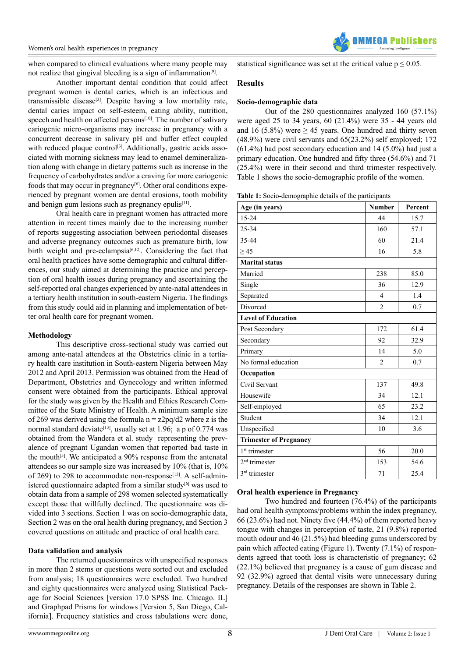

when compared to clinical evaluations where many people may not realize that gingival bleeding is a sign of inflammation<sup>[\[9\]](#page-3-6)</sup>.

Another important dental condition that could affect pregnant women is dental caries, which is an infectious and transmissible disease[3]. Despite having a low mortality rate, dental caries impact on self-esteem, eating ability, nutrition, speech and health on affected persons<sup>[10]</sup>. The number of salivary cariogenic micro-organisms may increase in pregnancy with a concurrent decrease in salivary pH and buffer effect coupled with reduced plaque control<sup>[3]</sup>. Additionally, gastric acids associated with morning sickness may lead to enamel demineralization along with change in dietary patterns such as increase in the frequency of carbohydrates and/or a craving for more cariogenic foods that may occur in pregnancy<sup>[6]</sup>. Other oral conditions experienced by pregnant women are dental erosions, tooth mobility and benign gum lesions such as pregnancy epulis<sup> $[11]$ </sup>.

Oral health care in pregnant women has attracted more attention in recent times mainly due to the increasing number of reports suggesting association between periodontal diseases and adverse pregnancy outcomes such as premature birth, low birth weight and pre-eclampsia<sup>[6,12]</sup>. Considering the fact that oral health practices have some demographic and cultural differences, our study aimed at determining the practice and perception of oral health issues during pregnancy and ascertaining the self-reported oral changes experienced by ante-natal attendees in a tertiary health institution in south-eastern Nigeria. The findings from this study could aid in planning and implementation of better oral health care for pregnant women.

#### **Methodology**

This descriptive cross-sectional study was carried out among ante-natal attendees at the Obstetrics clinic in a tertiary health care institution in South-eastern Nigeria between May 2012 and April 2013. Permission was obtained from the Head of Department, Obstetrics and Gynecology and written informed consent were obtained from the participants. Ethical approval for the study was given by the Health and Ethics Research Committee of the State Ministry of Health. A minimum sample size of 269 was derived using the formula  $n = z2pq/d2$  where z is the normal standard deviate<sup>[13]</sup>, usually set at 1.96; a p of 0.774 was obtained from the Wandera et al. study representing the prevalence of pregnant Ugandan women that reported bad taste in the mouth<sup>[5]</sup>. We anticipated a  $90\%$  response from the antenatal attendees so our sample size was increased by 10% (that is, 10% of 269) to 298 to accommodate non-response<sup>[13]</sup>. A self-administered questionnaire adapted from a similar study<sup>[6]</sup> was used to obtain data from a sample of 298 women selected systematically except those that willfully declined. The questionnaire was divided into 3 sections. Section 1 was on socio-demographic data, Section 2 was on the oral health during pregnancy, and Section 3 covered questions on attitude and practice of oral health care.

#### **Data validation and analysis**

The returned questionnaires with unspecified responses in more than 2 stems or questions were sorted out and excluded from analysis; 18 questionnaires were excluded. Two hundred and eighty questionnaires were analyzed using Statistical Package for Social Sciences [version 17.0 SPSS Inc. Chicago. IL] and Graphpad Prisms for windows [Version 5, San Diego, California]. Frequency statistics and cross tabulations were done, statistical significance was set at the critical value  $p \le 0.05$ .

#### **Results**

#### **Socio-demographic data**

Out of the 280 questionnaires analyzed 160 (57.1%) were aged 25 to 34 years, 60 (21.4%) were 35 - 44 years old and 16 (5.8%) were  $\geq$  45 years. One hundred and thirty seven (48.9%) were civil servants and 65(23.2%) self employed; 172 (61.4%) had post secondary education and 14 (5.0%) had just a primary education. One hundred and fifty three (54.6%) and 71 (25.4%) were in their second and third trimester respectively. Table 1 shows the socio-demographic profile of the women.

**Table 1:** Socio-demographic details of the participants

| Age (in years)                | <b>Number</b>  | Percent |  |  |  |  |
|-------------------------------|----------------|---------|--|--|--|--|
| $15 - 24$                     | 44             | 15.7    |  |  |  |  |
| 25-34                         | 160            | 57.1    |  |  |  |  |
| 35-44                         | 60             | 21.4    |  |  |  |  |
| > 45                          | 16             | 5.8     |  |  |  |  |
| <b>Marital status</b>         |                |         |  |  |  |  |
| Married                       | 238            | 85.0    |  |  |  |  |
| Single                        | 36             | 12.9    |  |  |  |  |
| Separated                     | $\overline{4}$ | 1.4     |  |  |  |  |
| Divorced                      | $\overline{c}$ | 0.7     |  |  |  |  |
| <b>Level of Education</b>     |                |         |  |  |  |  |
| Post Secondary                | 172            | 61.4    |  |  |  |  |
| Secondary                     | 92             | 32.9    |  |  |  |  |
| Primary                       | 14             | 5.0     |  |  |  |  |
| No formal education           | $\overline{2}$ | 0.7     |  |  |  |  |
| Occupation                    |                |         |  |  |  |  |
| Civil Servant                 | 137            | 49.8    |  |  |  |  |
| Housewife                     | 34             | 12.1    |  |  |  |  |
| Self-employed                 | 65             | 23.2    |  |  |  |  |
| Student                       | 34             | 12.1    |  |  |  |  |
| Unspecified                   | 10             | 3.6     |  |  |  |  |
| <b>Trimester of Pregnancy</b> |                |         |  |  |  |  |
| 1 <sup>st</sup> trimester     | 56             | 20.0    |  |  |  |  |
| $2nd$ trimester               | 153            | 54.6    |  |  |  |  |
| 3 <sup>rd</sup> trimester     | 71             | 25.4    |  |  |  |  |

#### **Oral health experience in Pregnancy**

Two hundred and fourteen (76.4%) of the participants had oral health symptoms/problems within the index pregnancy, 66 (23.6%) had not. Ninety five (44.4%) of them reported heavy tongue with changes in perception of taste, 21 (9.8%) reported mouth odour and 46 (21.5%) had bleeding gums underscored by pain which affected eating (Figure 1). Twenty (7.1%) of respondents agreed that tooth loss is characteristic of pregnancy; 62 (22.1%) believed that pregnancy is a cause of gum disease and 92 (32.9%) agreed that dental visits were unnecessary during pregnancy. Details of the responses are shown in Table 2.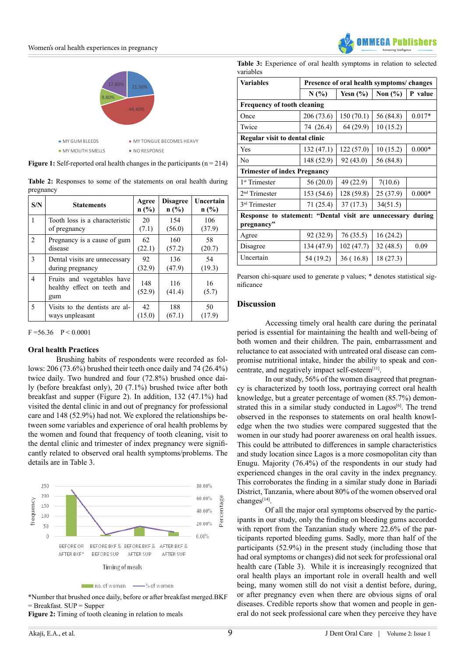#### $\frac{1}{1}$  : Oral health changes in pregnant women women women women women women women women women women women women women women women women women women women women women women women women women women women women women wom Women's oral health experiences in pregnancy



**Figure 1:** Self-reported oral health changes in the participants  $(n = 214)$ 

|           | Table 2: Responses to some of the statements on oral health during |  |  |  |  |  |
|-----------|--------------------------------------------------------------------|--|--|--|--|--|
| pregnancy |                                                                    |  |  |  |  |  |

| S/N            | <b>Statements</b>                                                | Agree<br>$n$ (%) | <b>Disagree</b><br>n(%) | Uncertain<br>$n$ (%) |
|----------------|------------------------------------------------------------------|------------------|-------------------------|----------------------|
| 1              | Tooth loss is a characteristic                                   | 20               | 154                     | 106                  |
|                | of pregnancy                                                     | (7.1)            | (56.0)                  | (37.9)               |
| $\overline{2}$ | Pregnancy is a cause of gum                                      | 62               | 160                     | 58                   |
|                | disease                                                          | (22.1)           | (57.2)                  | (20.7)               |
| 3              | Dental visits are unnecessary                                    | 92               | 136                     | 54                   |
|                | during pregnancy                                                 | (32.9)           | (47.9)                  | (19.3)               |
| 4              | Fruits and vegetables have<br>healthy effect on teeth and<br>gum | 148<br>(52.9)    | 116<br>(41.4)           | 16<br>(5.7)          |
| 5              | Visits to the dentists are al-                                   | 42               | 188                     | 50                   |
|                | ways unpleasant                                                  | (15.0)           | (67.1)                  | (17.9)               |

 $F = 56.36$   $P < 0.0001$ 

#### **Oral health Practices**

Brushing habits of respondents were recorded as follows: 206 (73.6%) brushed their teeth once daily and 74 (26.4%) twice daily. Two hundred and four (72.8%) brushed once daily (before breakfast only), 20 (7.1%) brushed twice after both breakfast and supper (Figure 2). In addition, 132 (47.1%) had visited the dental clinic in and out of pregnancy for professional care and 148 (52.9%) had not. We explored the relationships between some variables and experience of oral health problems by the women and found that frequency of tooth cleaning, visit to the dental clinic and trimester of index pregnancy were significantly related to observed oral health symptoms/problems. The details are in Table 3.



\*Number that brushed once daily, before or after breakfast merged.BKF = Breakfast. SUP = Supper

**Figure 2:** Timing of tooth cleaning in relation to meals

**Table 3:** Experience of oral health symptoms in relation to selected variables

| <b>Variables</b>                                               | Presence of oral health symptoms/changes |              |             |          |  |  |  |  |
|----------------------------------------------------------------|------------------------------------------|--------------|-------------|----------|--|--|--|--|
|                                                                | N(%)                                     | Yesn $(\% )$ | Non $(\% )$ | P value  |  |  |  |  |
| <b>Frequency of tooth cleaning</b>                             |                                          |              |             |          |  |  |  |  |
| Once                                                           | 206 (73.6)                               | 150(70.1)    | 56 (84.8)   | $0.017*$ |  |  |  |  |
| Twice                                                          | 74 (26.4)                                | 64 (29.9)    | 10(15.2)    |          |  |  |  |  |
| Regular visit to dental clinic                                 |                                          |              |             |          |  |  |  |  |
| Yes                                                            | 132 (47.1)                               | 122 (57.0)   | 10(15.2)    | $0.000*$ |  |  |  |  |
| No                                                             | 148 (52.9)                               | 92 (43.0)    | 56 (84.8)   |          |  |  |  |  |
| <b>Trimester of index Pregnancy</b>                            |                                          |              |             |          |  |  |  |  |
| 1 <sup>st</sup> Trimester                                      | 56(20.0)                                 | 49 (22.9)    | 7(10.6)     |          |  |  |  |  |
| $2nd$ Trimester                                                | 153 (54.6)                               | 128 (59.8)   | 25 (37.9)   | $0.000*$ |  |  |  |  |
| 3 <sup>rd</sup> Trimester                                      | 71 (25.4)                                | 37(17.3)     | 34(51.5)    |          |  |  |  |  |
| Response to statement: "Dental visit are<br>unnecessary during |                                          |              |             |          |  |  |  |  |
| pregnancy"                                                     |                                          |              |             |          |  |  |  |  |
| Agree                                                          | 92 (32.9)                                | 76(35.5)     | 16(24.2)    |          |  |  |  |  |
| Disagree                                                       | 134 (47.9)                               | 102 (47.7)   | 32(48.5)    | 0.09     |  |  |  |  |
| Uncertain                                                      | 54 (19.2)                                | 36(16.8)     | 18 (27.3)   |          |  |  |  |  |

Pearson chi-square used to generate p values; \* denotes statistical significance

### **Discussion**

Accessing timely oral health care during the perinatal period is essential for maintaining the health and well-being of both women and their children. The pain, embarrassment and reluctance to eat associated with untreated oral disease can compromise nutritional intake, hinder the ability to speak and concentrate, and negatively impact self-esteem[11].

In our study, 56% of the women disagreed that pregnancy is characterized by tooth loss, portraying correct oral health knowledge, but a greater percentage of women (85.7%) demonstrated this in a similar study conducted in  $Lagos^{[6]}$ . The trend observed in the responses to statements on oral health knowledge when the two studies were compared suggested that the women in our study had poorer awareness on oral health issues. This could be attributed to differences in sample characteristics and study location since Lagos is a more cosmopolitan city than Enugu. Majority (76.4%) of the respondents in our study had experienced changes in the oral cavity in the index pregnancy. This corroborates the finding in a similar study done in Bariadi District, Tanzania, where about 80% of the women observed oral changes[\[14\].](#page-3-11)

Of all the major oral symptoms observed by the participants in our study, only the finding on bleeding gums accorded with report from the Tanzanian study where 22.6% of the participants reported bleeding gums. Sadly, more than half of the participants (52.9%) in the present study (including those that had oral symptoms or changes) did not seek for professional oral health care (Table 3). While it is increasingly recognized that oral health plays an important role in overall health and well being, many women still do not visit a dentist before, during, or after pregnancy even when there are obvious signs of oral diseases. Credible reports show that women and people in general do not seek professional care when they perceive they have